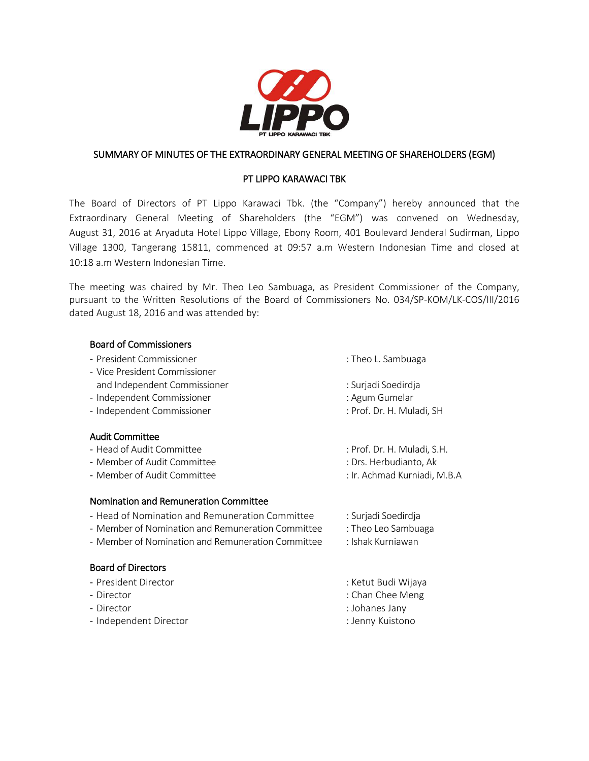

# SUMMARY OF MINUTES OF THE EXTRAORDINARY GENERAL MEETING OF SHAREHOLDERS (EGM)

# PT LIPPO KARAWACI TBK

The Board of Directors of PT Lippo Karawaci Tbk. (the "Company") hereby announced that the Extraordinary General Meeting of Shareholders (the "EGM") was convened on Wednesday, August 31, 2016 at Aryaduta Hotel Lippo Village, Ebony Room, 401 Boulevard Jenderal Sudirman, Lippo Village 1300, Tangerang 15811, commenced at 09:57 a.m Western Indonesian Time and closed at 10:18 a.m Western Indonesian Time.

The meeting was chaired by Mr. Theo Leo Sambuaga, as President Commissioner of the Company, pursuant to the Written Resolutions of the Board of Commissioners No. 034/SP-KOM/LK-COS/III/2016 dated August 18, 2016 and was attended by:

## Board of Commissioners

- President Commissioner in the commissioner in the commissioner in the commissioner in the commissioner in the commissioner in the commissioner in the commissioner in the commissioner in the commissioner in the commission
- Vice President Commissioner and Independent Commissioner is a settlement of the surface is surjadi Soedirdja
- Independent Commissioner in a man and the settlement of the settlement of the settlement of the settlement of
- Independent Commissioner : Prof. Dr. H. Muladi, SH

## Audit Committee

- Head of Audit Committee : Prof. Dr. H. Muladi, S.H.
- Member of Audit Committee  $\qquad \qquad$ : Drs. Herbudianto, Ak
- Member of Audit Committee  $\qquad \qquad$ : Ir. Achmad Kurniadi, M.B.A

## Nomination and Remuneration Committee

- Head of Nomination and Remuneration Committee : Surjadi Soedirdja
- Member of Nomination and Remuneration Committee : Theo Leo Sambuaga
- Member of Nomination and Remuneration Committee : Ishak Kurniawan

# Board of Directors

- President Director in the state of the state of the Second Second Second Second Second Second Second Second S
- 
- Director : Johanes Jany
- Independent Director : Jenny Kuistono
- 
- 
- 
- 
- 
- 
- 
- 
- 
- 
- 
- Director : Chan Chee Meng
	-
	-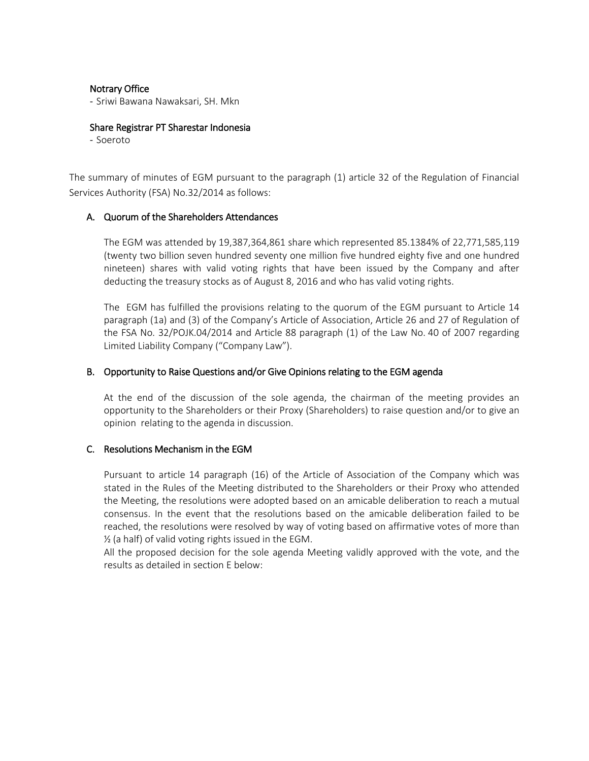#### Notrary Office

- Sriwi Bawana Nawaksari, SH. Mkn

#### Share Registrar PT Sharestar Indonesia

- Soeroto

The summary of minutes of EGM pursuant to the paragraph (1) article 32 of the Regulation of Financial Services Authority (FSA) No.32/2014 as follows:

## A. Quorum of the Shareholders Attendances

The EGM was attended by 19,387,364,861 share which represented 85.1384% of 22,771,585,119 (twenty two billion seven hundred seventy one million five hundred eighty five and one hundred nineteen) shares with valid voting rights that have been issued by the Company and after deducting the treasury stocks as of August 8, 2016 and who has valid voting rights.

The EGM has fulfilled the provisions relating to the quorum of the EGM pursuant to Article 14 paragraph (1a) and (3) of the Company's Article of Association, Article 26 and 27 of Regulation of the FSA No. 32/POJK.04/2014 and Article 88 paragraph (1) of the Law No. 40 of 2007 regarding Limited Liability Company ("Company Law").

#### B. Opportunity to Raise Questions and/or Give Opinions relating to the EGM agenda

At the end of the discussion of the sole agenda, the chairman of the meeting provides an opportunity to the Shareholders or their Proxy (Shareholders) to raise question and/or to give an opinion relating to the agenda in discussion.

## C. Resolutions Mechanism in the EGM

Pursuant to article 14 paragraph (16) of the Article of Association of the Company which was stated in the Rules of the Meeting distributed to the Shareholders or their Proxy who attended the Meeting, the resolutions were adopted based on an amicable deliberation to reach a mutual consensus. In the event that the resolutions based on the amicable deliberation failed to be reached, the resolutions were resolved by way of voting based on affirmative votes of more than ½ (a half) of valid voting rights issued in the EGM.

All the proposed decision for the sole agenda Meeting validly approved with the vote, and the results as detailed in section E below: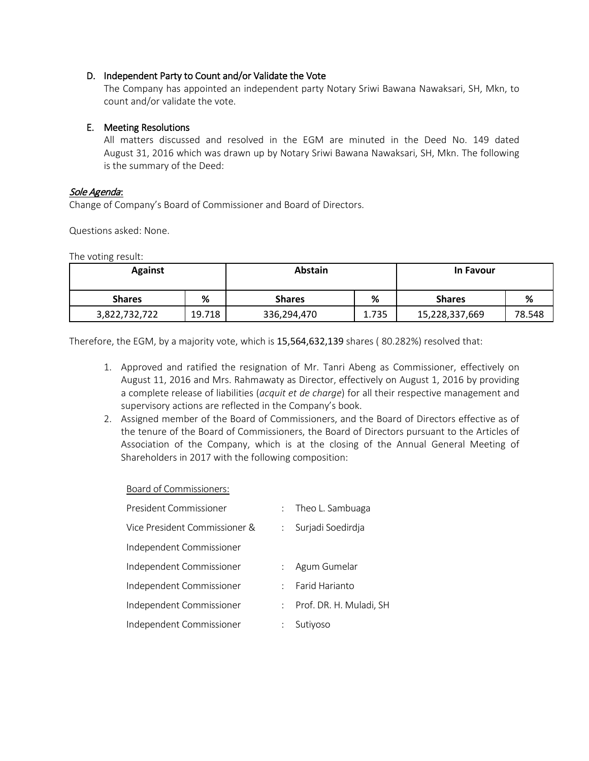## D. Independent Party to Count and/or Validate the Vote

The Company has appointed an independent party Notary Sriwi Bawana Nawaksari, SH, Mkn, to count and/or validate the vote.

### E. Meeting Resolutions

All matters discussed and resolved in the EGM are minuted in the Deed No. 149 dated August 31, 2016 which was drawn up by Notary Sriwi Bawana Nawaksari, SH, Mkn. The following is the summary of the Deed:

#### Sole Agenda:

Change of Company's Board of Commissioner and Board of Directors.

Questions asked: None.

The voting result:

| <b>Against</b> |        | <b>Abstain</b> |       | <b>In Favour</b> |        |
|----------------|--------|----------------|-------|------------------|--------|
| <b>Shares</b>  | %      | <b>Shares</b>  | %     | <b>Shares</b>    | %      |
| 3,822,732,722  | 19.718 | 336,294,470    | 1.735 | 15,228,337,669   | 78.548 |

Therefore, the EGM, by a majority vote, which is 15,564,632,139 shares ( 80.282%) resolved that:

- 1. Approved and ratified the resignation of Mr. Tanri Abeng as Commissioner, effectively on August 11, 2016 and Mrs. Rahmawaty as Director, effectively on August 1, 2016 by providing a complete release of liabilities (*acquit et de charge*) for all their respective management and supervisory actions are reflected in the Company's book.
- 2. Assigned member of the Board of Commissioners, and the Board of Directors effective as of the tenure of the Board of Commissioners, the Board of Directors pursuant to the Articles of Association of the Company, which is at the closing of the Annual General Meeting of Shareholders in 2017 with the following composition:

#### Board of Commissioners:

| President Commissioner        | $\mathbb{R}^{\mathbb{Z}}$ | Theo L. Sambuaga        |
|-------------------------------|---------------------------|-------------------------|
| Vice President Commissioner & | $\ddot{\cdot}$            | Surjadi Soedirdja       |
| Independent Commissioner      |                           |                         |
| Independent Commissioner      |                           | Agum Gumelar            |
| Independent Commissioner      | ٠                         | Farid Harianto          |
| Independent Commissioner      | t.                        | Prof. DR. H. Muladi, SH |
| Independent Commissioner      |                           | Sutiyoso                |